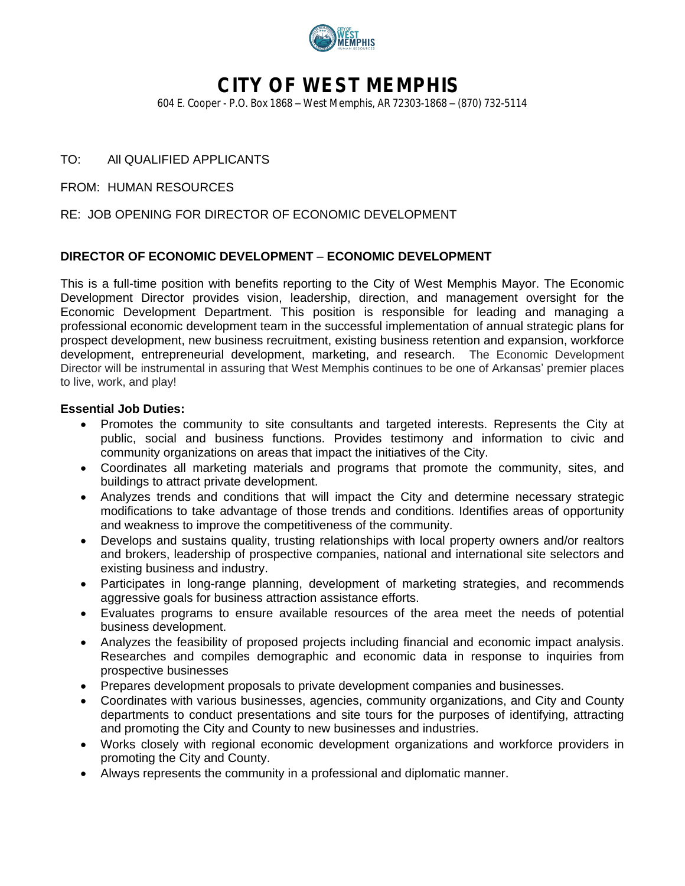

# **CITY OF WEST MEMPHIS**

604 E. Cooper - P.O. Box 1868 – West Memphis, AR 72303-1868 – (870) 732-5114

## TO: All QUALIFIED APPLICANTS

FROM: HUMAN RESOURCES

### RE: JOB OPENING FOR DIRECTOR OF ECONOMIC DEVELOPMENT

### **DIRECTOR OF ECONOMIC DEVELOPMENT** – **ECONOMIC DEVELOPMENT**

This is a full-time position with benefits reporting to the City of West Memphis Mayor. The Economic Development Director provides vision, leadership, direction, and management oversight for the Economic Development Department. This position is responsible for leading and managing a professional economic development team in the successful implementation of annual strategic plans for prospect development, new business recruitment, existing business retention and expansion, workforce development, entrepreneurial development, marketing, and research. The Economic Development Director will be instrumental in assuring that West Memphis continues to be one of Arkansas' premier places to live, work, and play!

#### **Essential Job Duties:**

- Promotes the community to site consultants and targeted interests. Represents the City at public, social and business functions. Provides testimony and information to civic and community organizations on areas that impact the initiatives of the City.
- Coordinates all marketing materials and programs that promote the community, sites, and buildings to attract private development.
- Analyzes trends and conditions that will impact the City and determine necessary strategic modifications to take advantage of those trends and conditions. Identifies areas of opportunity and weakness to improve the competitiveness of the community.
- Develops and sustains quality, trusting relationships with local property owners and/or realtors and brokers, leadership of prospective companies, national and international site selectors and existing business and industry.
- Participates in long-range planning, development of marketing strategies, and recommends aggressive goals for business attraction assistance efforts.
- Evaluates programs to ensure available resources of the area meet the needs of potential business development.
- Analyzes the feasibility of proposed projects including financial and economic impact analysis. Researches and compiles demographic and economic data in response to inquiries from prospective businesses
- Prepares development proposals to private development companies and businesses.
- Coordinates with various businesses, agencies, community organizations, and City and County departments to conduct presentations and site tours for the purposes of identifying, attracting and promoting the City and County to new businesses and industries.
- Works closely with regional economic development organizations and workforce providers in promoting the City and County.
- Always represents the community in a professional and diplomatic manner.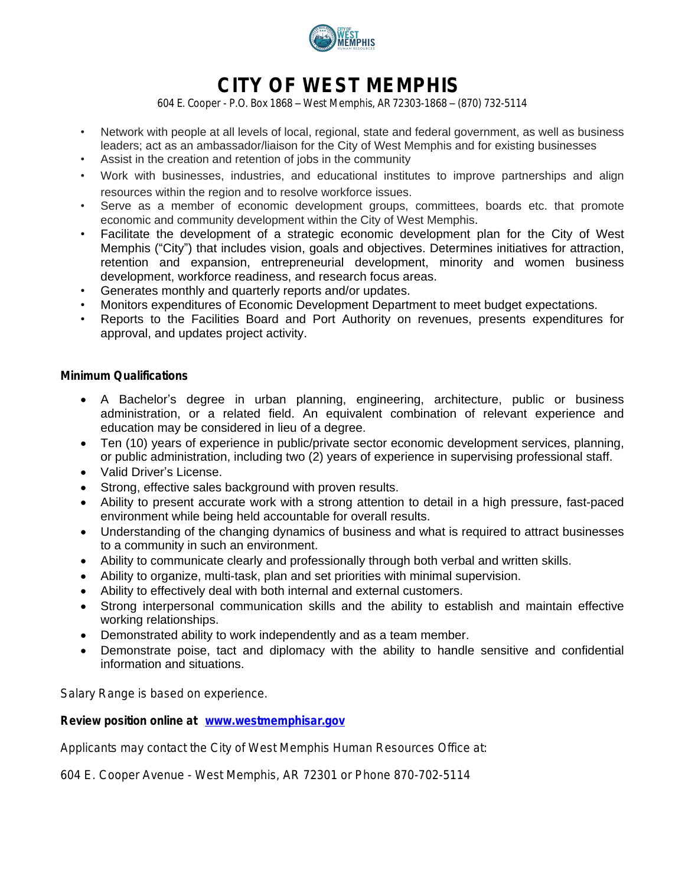

# **CITY OF WEST MEMPHIS**

604 E. Cooper - P.O. Box 1868 – West Memphis, AR 72303-1868 – (870) 732-5114

- Network with people at all levels of local, regional, state and federal government, as well as business leaders; act as an ambassador/liaison for the City of West Memphis and for existing businesses
- Assist in the creation and retention of jobs in the community
- Work with businesses, industries, and educational institutes to improve partnerships and align resources within the region and to resolve workforce issues.
- Serve as a member of economic development groups, committees, boards etc. that promote economic and community development within the City of West Memphis.
- Facilitate the development of a strategic economic development plan for the City of West Memphis ("City") that includes vision, goals and objectives. Determines initiatives for attraction, retention and expansion, entrepreneurial development, minority and women business development, workforce readiness, and research focus areas.
- Generates monthly and quarterly reports and/or updates.
- Monitors expenditures of Economic Development Department to meet budget expectations.
- Reports to the Facilities Board and Port Authority on revenues, presents expenditures for approval, and updates project activity.

#### **Minimum Qualifications**

- A Bachelor's degree in urban planning, engineering, architecture, public or business administration, or a related field. An equivalent combination of relevant experience and education may be considered in lieu of a degree.
- Ten (10) years of experience in public/private sector economic development services, planning, or public administration, including two (2) years of experience in supervising professional staff.
- Valid Driver's License.
- Strong, effective sales background with proven results.
- Ability to present accurate work with a strong attention to detail in a high pressure, fast-paced environment while being held accountable for overall results.
- Understanding of the changing dynamics of business and what is required to attract businesses to a community in such an environment.
- Ability to communicate clearly and professionally through both verbal and written skills.
- Ability to organize, multi-task, plan and set priorities with minimal supervision.
- Ability to effectively deal with both internal and external customers.
- Strong interpersonal communication skills and the ability to establish and maintain effective working relationships.
- Demonstrated ability to work independently and as a team member.
- Demonstrate poise, tact and diplomacy with the ability to handle sensitive and confidential information and situations.

Salary Range is based on experience.

#### **Review position online at [www.westmemphisar.gov](http://www.westmemphisar.gov)**

Applicants may contact the City of West Memphis Human Resources Office at:

604 E. Cooper Avenue - West Memphis, AR 72301 or Phone 870-702-5114